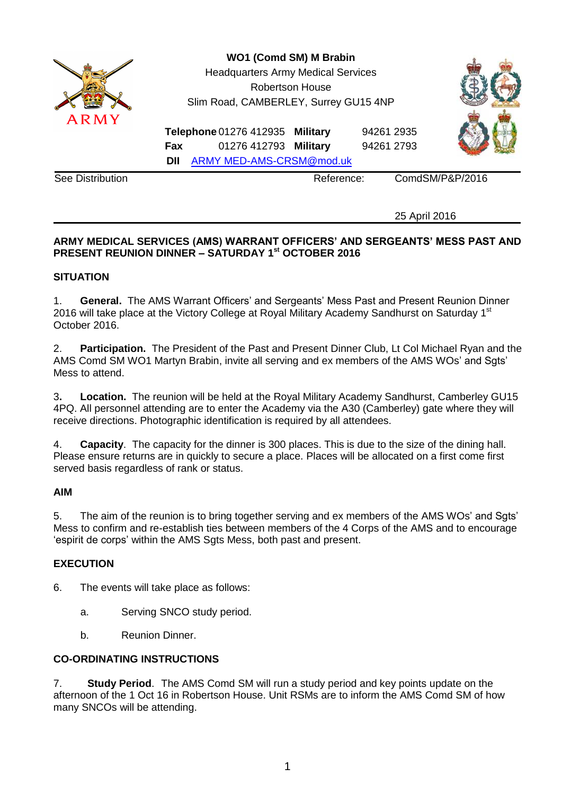

25 April 2016

# **ARMY MEDICAL SERVICES (AMS) WARRANT OFFICERS' AND SERGEANTS' MESS PAST AND PRESENT REUNION DINNER – SATURDAY 1st OCTOBER 2016**

#### **SITUATION**

1. **General.** The AMS Warrant Officers' and Sergeants' Mess Past and Present Reunion Dinner 2016 will take place at the Victory College at Royal Military Academy Sandhurst on Saturday 1<sup>st</sup> October 2016.

2. **Participation.** The President of the Past and Present Dinner Club, Lt Col Michael Ryan and the AMS Comd SM WO1 Martyn Brabin, invite all serving and ex members of the AMS WOs' and Sgts' Mess to attend.

3**. Location.** The reunion will be held at the Royal Military Academy Sandhurst, Camberley GU15 4PQ. All personnel attending are to enter the Academy via the A30 (Camberley) gate where they will receive directions. Photographic identification is required by all attendees.

4. **Capacity**. The capacity for the dinner is 300 places. This is due to the size of the dining hall. Please ensure returns are in quickly to secure a place. Places will be allocated on a first come first served basis regardless of rank or status.

#### **AIM**

5. The aim of the reunion is to bring together serving and ex members of the AMS WOs' and Sgts' Mess to confirm and re-establish ties between members of the 4 Corps of the AMS and to encourage 'espirit de corps' within the AMS Sgts Mess, both past and present.

# **EXECUTION**

- 6. The events will take place as follows:
	- a. Serving SNCO study period.
	- b. Reunion Dinner.

# **CO-ORDINATING INSTRUCTIONS**

7. **Study Period**. The AMS Comd SM will run a study period and key points update on the afternoon of the 1 Oct 16 in Robertson House. Unit RSMs are to inform the AMS Comd SM of how many SNCOs will be attending.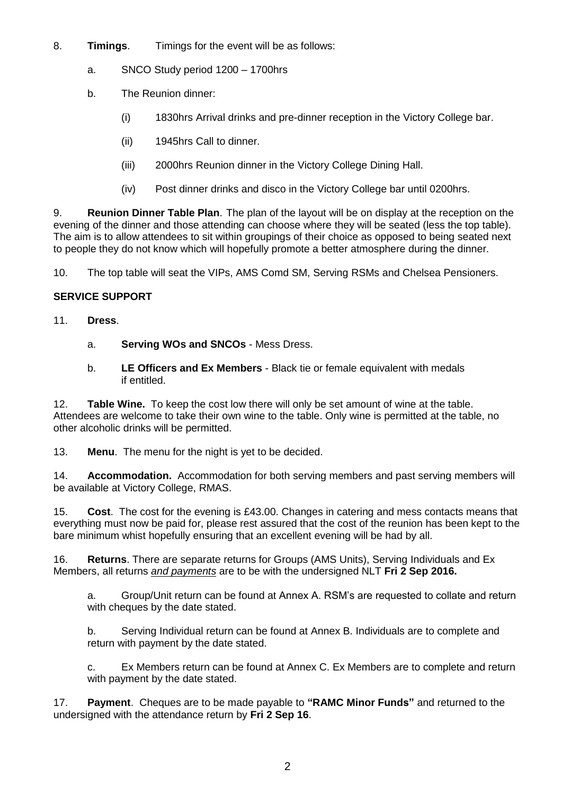- 8. **Timings**. Timings for the event will be as follows:
	- a. SNCO Study period 1200 1700hrs
	- b. The Reunion dinner:
		- (i) 1830hrs Arrival drinks and pre-dinner reception in the Victory College bar.
		- (ii) 1945hrs Call to dinner.
		- (iii) 2000hrs Reunion dinner in the Victory College Dining Hall.
		- (iv) Post dinner drinks and disco in the Victory College bar until 0200hrs.

9. **Reunion Dinner Table Plan**. The plan of the layout will be on display at the reception on the evening of the dinner and those attending can choose where they will be seated (less the top table). The aim is to allow attendees to sit within groupings of their choice as opposed to being seated next to people they do not know which will hopefully promote a better atmosphere during the dinner.

10. The top table will seat the VIPs, AMS Comd SM, Serving RSMs and Chelsea Pensioners.

# **SERVICE SUPPORT**

- 11. **Dress**.
	- a. **Serving WOs and SNCOs** Mess Dress.
	- b. **LE Officers and Ex Members** Black tie or female equivalent with medals if entitled.

12. **Table Wine.** To keep the cost low there will only be set amount of wine at the table. Attendees are welcome to take their own wine to the table. Only wine is permitted at the table, no other alcoholic drinks will be permitted.

13. **Menu**. The menu for the night is yet to be decided.

14. **Accommodation.** Accommodation for both serving members and past serving members will be available at Victory College, RMAS.

15. **Cost**. The cost for the evening is £43.00. Changes in catering and mess contacts means that everything must now be paid for, please rest assured that the cost of the reunion has been kept to the bare minimum whist hopefully ensuring that an excellent evening will be had by all.

16. **Returns**. There are separate returns for Groups (AMS Units), Serving Individuals and Ex Members, all returns *and payments* are to be with the undersigned NLT **Fri 2 Sep 2016.**

a. Group/Unit return can be found at Annex A. RSM's are requested to collate and return with cheques by the date stated.

b. Serving Individual return can be found at Annex B. Individuals are to complete and return with payment by the date stated.

c. Ex Members return can be found at Annex C. Ex Members are to complete and return with payment by the date stated.

17. **Payment**. Cheques are to be made payable to **"RAMC Minor Funds"** and returned to the undersigned with the attendance return by **Fri 2 Sep 16**.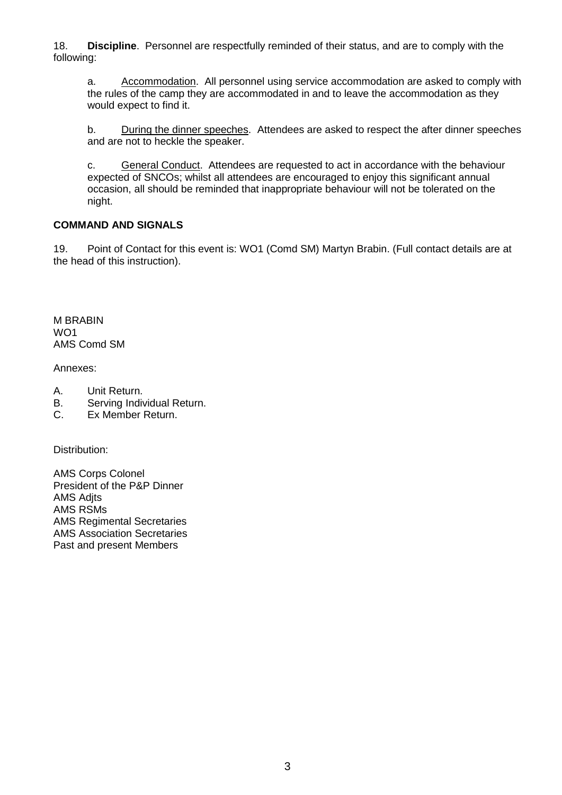18. **Discipline**. Personnel are respectfully reminded of their status, and are to comply with the following:

a. Accommodation. All personnel using service accommodation are asked to comply with the rules of the camp they are accommodated in and to leave the accommodation as they would expect to find it.

b. During the dinner speeches. Attendees are asked to respect the after dinner speeches and are not to heckle the speaker.

c. General Conduct. Attendees are requested to act in accordance with the behaviour expected of SNCOs; whilst all attendees are encouraged to enjoy this significant annual occasion, all should be reminded that inappropriate behaviour will not be tolerated on the night.

### **COMMAND AND SIGNALS**

19. Point of Contact for this event is: WO1 (Comd SM) Martyn Brabin. (Full contact details are at the head of this instruction).

M BRABIN WO1 AMS Comd SM

Annexes:

- A. Unit Return.
- B. Serving Individual Return.
- C. Ex Member Return.

Distribution:

AMS Corps Colonel President of the P&P Dinner **AMS Adits** AMS RSMs AMS Regimental Secretaries AMS Association Secretaries Past and present Members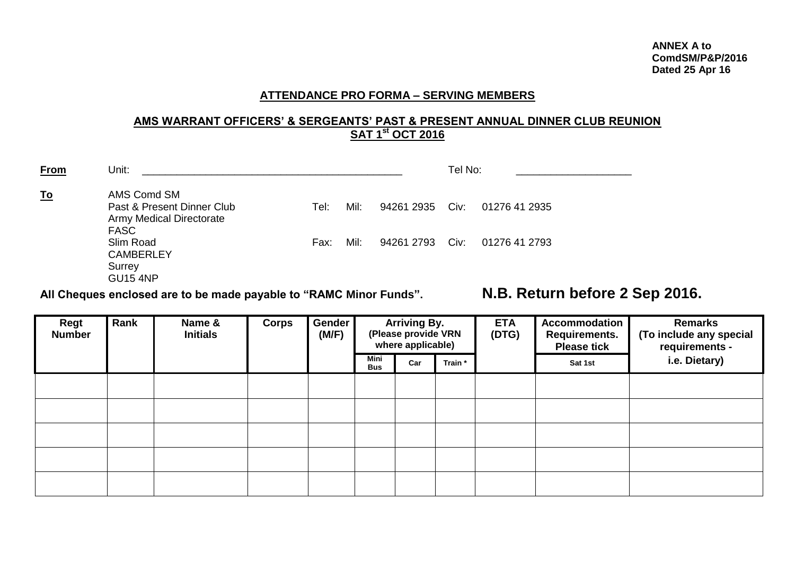### **ATTENDANCE PRO FORMA – SERVING MEMBERS**

#### **AMS WARRANT OFFICERS' & SERGEANTS' PAST & PRESENT ANNUAL DINNER CLUB REUNION SAT 1 st OCT 2016**

| <b>From</b> | Unit:                                                                                       |      |      |            | Tel No: |                |
|-------------|---------------------------------------------------------------------------------------------|------|------|------------|---------|----------------|
| <u>To</u>   | AMS Comd SM<br>Past & Present Dinner Club<br><b>Army Medical Directorate</b><br><b>FASC</b> | Tel: | Mil: | 94261 2935 | Civ:    | 01276 41 2935  |
|             | Slim Road<br><b>CAMBERLEY</b><br>Surrey<br><b>GU15 4NP</b>                                  | Fax: | Mil: | 94261 2793 | Civ:    | 01276 41 2793  |
|             |                                                                                             |      |      |            |         | $\blacksquare$ |

**All Cheques enclosed are to be made payable to "RAMC Minor Funds". N.B. Return before 2 Sep 2016.**

| Regt<br><b>Number</b> | Rank | Name &<br><b>Initials</b> | <b>Corps</b> | Gender<br>(M/F) | <b>Arriving By.</b><br>(Please provide VRN<br>where applicable) |     | <b>ETA</b><br>(DTG) | Accommodation<br><b>Requirements.</b><br><b>Please tick</b> | <b>Remarks</b><br>(To include any special<br>requirements - |               |
|-----------------------|------|---------------------------|--------------|-----------------|-----------------------------------------------------------------|-----|---------------------|-------------------------------------------------------------|-------------------------------------------------------------|---------------|
|                       |      |                           |              |                 | Mini<br>Bus                                                     | Car | Train *             |                                                             | Sat 1st                                                     | i.e. Dietary) |
|                       |      |                           |              |                 |                                                                 |     |                     |                                                             |                                                             |               |
|                       |      |                           |              |                 |                                                                 |     |                     |                                                             |                                                             |               |
|                       |      |                           |              |                 |                                                                 |     |                     |                                                             |                                                             |               |
|                       |      |                           |              |                 |                                                                 |     |                     |                                                             |                                                             |               |
|                       |      |                           |              |                 |                                                                 |     |                     |                                                             |                                                             |               |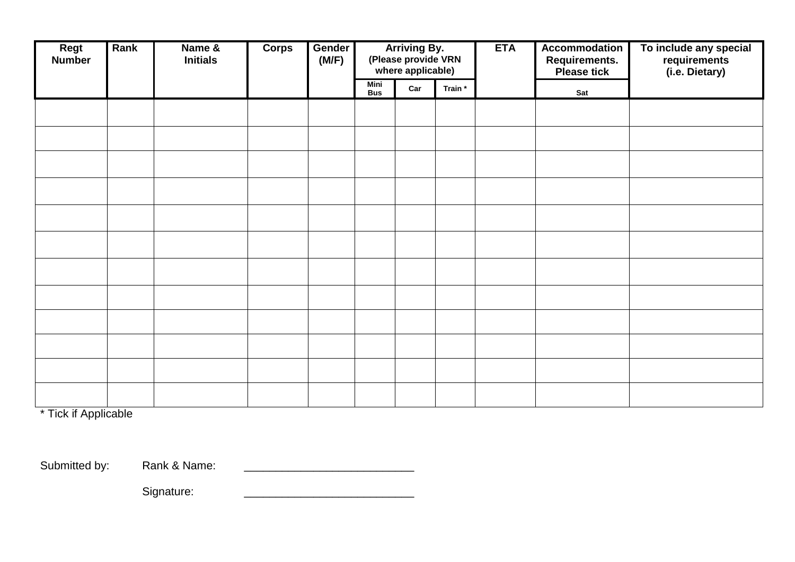| Regt<br><b>Number</b> | Rank | Name &<br><b>Initials</b> | <b>Corps</b> | Gender<br>(M/F) | <b>Arriving By.</b><br>(Please provide VRN<br>where applicable) |     |         |  | Accommodation<br>Requirements.<br>Please tick | To include any special<br>requirements<br>(i.e. Dietary) |
|-----------------------|------|---------------------------|--------------|-----------------|-----------------------------------------------------------------|-----|---------|--|-----------------------------------------------|----------------------------------------------------------|
|                       |      |                           |              |                 | <b>Mini</b><br><b>Bus</b>                                       | Car | Train * |  | Sat                                           |                                                          |
|                       |      |                           |              |                 |                                                                 |     |         |  |                                               |                                                          |
|                       |      |                           |              |                 |                                                                 |     |         |  |                                               |                                                          |
|                       |      |                           |              |                 |                                                                 |     |         |  |                                               |                                                          |
|                       |      |                           |              |                 |                                                                 |     |         |  |                                               |                                                          |
|                       |      |                           |              |                 |                                                                 |     |         |  |                                               |                                                          |
|                       |      |                           |              |                 |                                                                 |     |         |  |                                               |                                                          |
|                       |      |                           |              |                 |                                                                 |     |         |  |                                               |                                                          |
|                       |      |                           |              |                 |                                                                 |     |         |  |                                               |                                                          |
|                       |      |                           |              |                 |                                                                 |     |         |  |                                               |                                                          |
|                       |      |                           |              |                 |                                                                 |     |         |  |                                               |                                                          |
|                       |      |                           |              |                 |                                                                 |     |         |  |                                               |                                                          |
|                       |      |                           |              |                 |                                                                 |     |         |  |                                               |                                                          |

\* Tick if Applicable

Submitted by: Rank & Name:

Signature: \_\_\_\_\_\_\_\_\_\_\_\_\_\_\_\_\_\_\_\_\_\_\_\_\_\_\_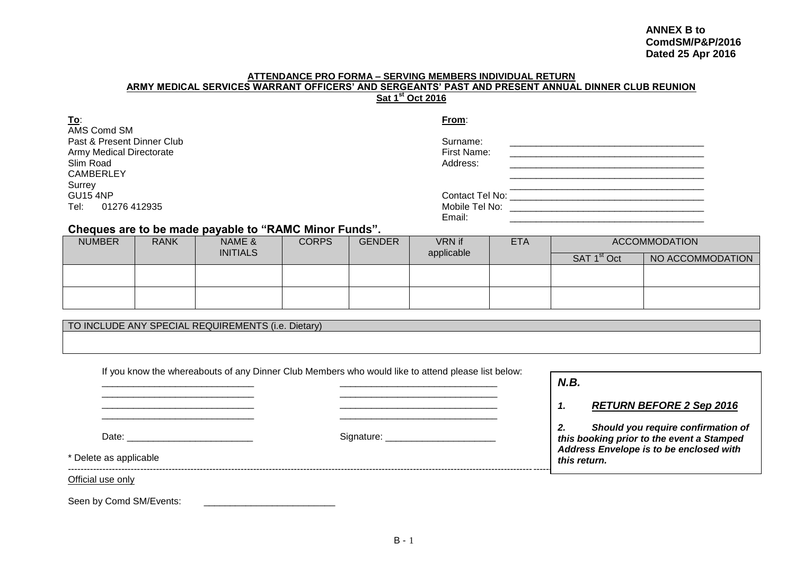#### **ANNEX B to ComdSM/P&P/2016 Dated 25 Apr 2016**

#### **ATTENDANCE PRO FORMA – SERVING MEMBERS INDIVIDUAL RETURN ARMY MEDICAL SERVICES WARRANT OFFICERS' AND SERGEANTS' PAST AND PRESENT ANNUAL DINNER CLUB REUNION Sat 1 st Oct 2016**

| <u>To:</u>                      | From:                               |
|---------------------------------|-------------------------------------|
| AMS Comd SM                     |                                     |
| Past & Present Dinner Club      | Surname:                            |
| <b>Army Medical Directorate</b> | First Name:                         |
| Slim Road                       | Address:                            |
| <b>CAMBERLEY</b>                |                                     |
| Surrey                          |                                     |
| <b>GU15 4NP</b>                 | Contact Tel No: The Contact Tel No: |
| Tel:<br>01276 412935            | Mobile Tel No:                      |
|                                 | Email:                              |

### **Cheques are to be made payable to "RAMC Minor Funds".**

| <b>NUMBER</b> | <b>RANK</b> | NAME &          | <b>CORPS</b><br><b>GENDER</b> |  | <b>VRN</b> if | <b>ETA</b> |                         | <b>ACCOMMODATION</b> |
|---------------|-------------|-----------------|-------------------------------|--|---------------|------------|-------------------------|----------------------|
|               |             | <b>INITIALS</b> |                               |  | applicable    |            | SAT 1 <sup>st</sup> Oct | NO ACCOMMODATION     |
|               |             |                 |                               |  |               |            |                         |                      |
|               |             |                 |                               |  |               |            |                         |                      |
|               |             |                 |                               |  |               |            |                         |                      |
|               |             |                 |                               |  |               |            |                         |                      |

TO INCLUDE ANY SPECIAL REQUIREMENTS (i.e. Dietary)

|                                                          | If you know the whereabouts of any Dinner Club Members who would like to attend please list below:                                                                                                                             | N.B.                                                                                                                                                                                      |
|----------------------------------------------------------|--------------------------------------------------------------------------------------------------------------------------------------------------------------------------------------------------------------------------------|-------------------------------------------------------------------------------------------------------------------------------------------------------------------------------------------|
| Date: ________________________<br>* Delete as applicable | Signature: example and state and state and state and state and state and state and state and state and state and state and state and state and state and state and state and state and state and state and state and state and | <b>RETURN BEFORE 2 Sep 2016</b><br>1.<br>2.<br>Should you require confirmation of<br>this booking prior to the event a Stamped<br>Address Envelope is to be enclosed with<br>this return. |
| Official use only<br>Seen by Comd SM/Events:             |                                                                                                                                                                                                                                |                                                                                                                                                                                           |